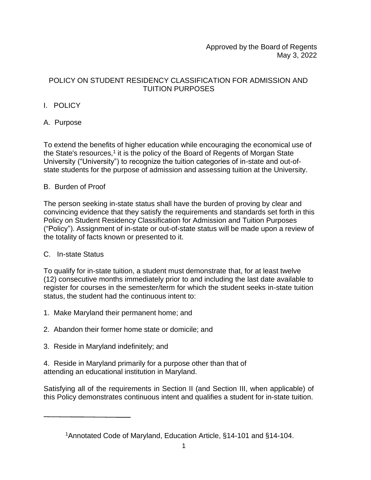Approved by the Board of Regents May 3, 2022

## POLICY ON STUDENT RESIDENCY CLASSIFICATION FOR ADMISSION AND TUITION PURPOSES

# I. POLICY

# A. Purpose

To extend the benefits of higher education while encouraging the economical use of the State's resources,<sup>1</sup> it is the policy of the Board of Regents of Morgan State University ("University") to recognize the tuition categories of in-state and out-ofstate students for the purpose of admission and assessing tuition at the University.

### B. Burden of Proof

The person seeking in-state status shall have the burden of proving by clear and convincing evidence that they satisfy the requirements and standards set forth in this Policy on Student Residency Classification for Admission and Tuition Purposes ("Policy"). Assignment of in-state or out-of-state status will be made upon a review of the totality of facts known or presented to it.

## C. In-state Status

To qualify for in-state tuition, a student must demonstrate that, for at least twelve (12) consecutive months immediately prior to and including the last date available to register for courses in the semester/term for which the student seeks in-state tuition status, the student had the continuous intent to:

- 1. Make Maryland their permanent home; and
- 2. Abandon their former home state or domicile; and
- 3. Reside in Maryland indefinitely; and
- 4. Reside in Maryland primarily for a purpose other than that of attending an educational institution in Maryland.

Satisfying all of the requirements in Section II (and Section III, when applicable) of this Policy demonstrates continuous intent and qualifies a student for in-state tuition.

<sup>1</sup>Annotated Code of Maryland, Education Article, §14-101 and §14-104.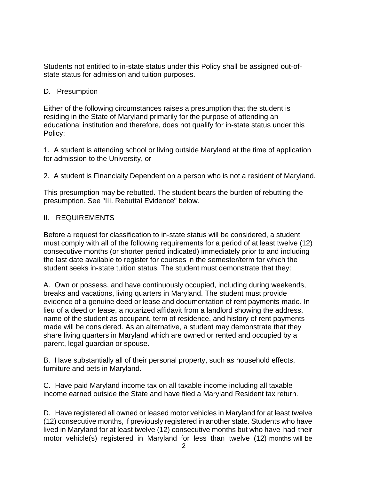Students not entitled to in-state status under this Policy shall be assigned out-ofstate status for admission and tuition purposes.

### D. Presumption

Either of the following circumstances raises a presumption that the student is residing in the State of Maryland primarily for the purpose of attending an educational institution and therefore, does not qualify for in-state status under this Policy:

1. A student is attending school or living outside Maryland at the time of application for admission to the University, or

2. A student is Financially Dependent on a person who is not a resident of Maryland.

This presumption may be rebutted. The student bears the burden of rebutting the presumption. See "III. Rebuttal Evidence" below.

#### II. REQUIREMENTS

Before a request for classification to in-state status will be considered, a student must comply with all of the following requirements for a period of at least twelve (12) consecutive months (or shorter period indicated) immediately prior to and including the last date available to register for courses in the semester/term for which the student seeks in-state tuition status. The student must demonstrate that they:

A. Own or possess, and have continuously occupied, including during weekends, breaks and vacations, living quarters in Maryland. The student must provide evidence of a genuine deed or lease and documentation of rent payments made. In lieu of a deed or lease, a notarized affidavit from a landlord showing the address, name of the student as occupant, term of residence, and history of rent payments made will be considered. As an alternative, a student may demonstrate that they share living quarters in Maryland which are owned or rented and occupied by a parent, legal guardian or spouse.

B. Have substantially all of their personal property, such as household effects, furniture and pets in Maryland.

C. Have paid Maryland income tax on all taxable income including all taxable income earned outside the State and have filed a Maryland Resident tax return.

D. Have registered all owned or leased motor vehicles in Maryland for at least twelve (12) consecutive months, if previously registered in another state. Students who have lived in Maryland for at least twelve (12) consecutive months but who have had their motor vehicle(s) registered in Maryland for less than twelve (12) months will be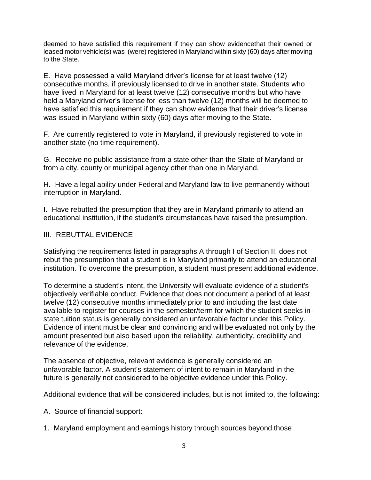deemed to have satisfied this requirement if they can show evidencethat their owned or leased motor vehicle(s) was (were) registered in Maryland within sixty (60) days after moving to the State.

E. Have possessed a valid Maryland driver's license for at least twelve (12) consecutive months, if previously licensed to drive in another state. Students who have lived in Maryland for at least twelve (12) consecutive months but who have held a Maryland driver's license for less than twelve (12) months will be deemed to have satisfied this requirement if they can show evidence that their driver's license was issued in Maryland within sixty (60) days after moving to the State.

F. Are currently registered to vote in Maryland, if previously registered to vote in another state (no time requirement).

G. Receive no public assistance from a state other than the State of Maryland or from a city, county or municipal agency other than one in Maryland.

H. Have a legal ability under Federal and Maryland law to live permanently without interruption in Maryland.

I. Have rebutted the presumption that they are in Maryland primarily to attend an educational institution, if the student's circumstances have raised the presumption.

#### III. REBUTTAL EVIDENCE

Satisfying the requirements listed in paragraphs A through I of Section II, does not rebut the presumption that a student is in Maryland primarily to attend an educational institution. To overcome the presumption, a student must present additional evidence.

To determine a student's intent, the University will evaluate evidence of a student's objectively verifiable conduct. Evidence that does not document a period of at least twelve (12) consecutive months immediately prior to and including the last date available to register for courses in the semester/term for which the student seeks instate tuition status is generally considered an unfavorable factor under this Policy. Evidence of intent must be clear and convincing and will be evaluated not only by the amount presented but also based upon the reliability, authenticity, credibility and relevance of the evidence.

The absence of objective, relevant evidence is generally considered an unfavorable factor. A student's statement of intent to remain in Maryland in the future is generally not considered to be objective evidence under this Policy.

Additional evidence that will be considered includes, but is not limited to, the following:

A. Source of financial support:

1. Maryland employment and earnings history through sources beyond those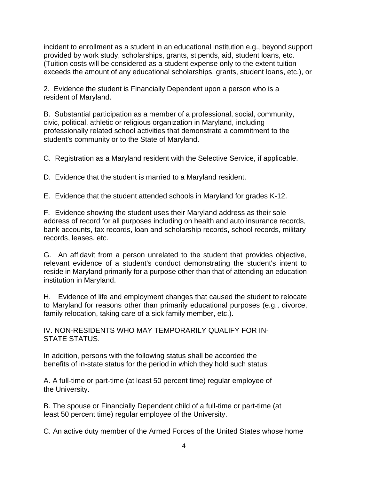incident to enrollment as a student in an educational institution e.g., beyond support provided by work study, scholarships, grants, stipends, aid, student loans, etc. (Tuition costs will be considered as a student expense only to the extent tuition exceeds the amount of any educational scholarships, grants, student loans, etc.), or

2. Evidence the student is Financially Dependent upon a person who is a resident of Maryland.

B. Substantial participation as a member of a professional, social, community, civic, political, athletic or religious organization in Maryland, including professionally related school activities that demonstrate a commitment to the student's community or to the State of Maryland.

C. Registration as a Maryland resident with the Selective Service, if applicable.

D. Evidence that the student is married to a Maryland resident.

E. Evidence that the student attended schools in Maryland for grades K-12.

F. Evidence showing the student uses their Maryland address as their sole address of record for all purposes including on health and auto insurance records, bank accounts, tax records, loan and scholarship records, school records, military records, leases, etc.

G. An affidavit from a person unrelated to the student that provides objective, relevant evidence of a student's conduct demonstrating the student's intent to reside in Maryland primarily for a purpose other than that of attending an education institution in Maryland.

H. Evidence of life and employment changes that caused the student to relocate to Maryland for reasons other than primarily educational purposes (e.g., divorce, family relocation, taking care of a sick family member, etc.).

IV. NON-RESIDENTS WHO MAY TEMPORARILY QUALIFY FOR IN-STATE STATUS.

In addition, persons with the following status shall be accorded the benefits of in-state status for the period in which they hold such status:

A. A full-time or part-time (at least 50 percent time) regular employee of the University.

B. The spouse or Financially Dependent child of a full-time or part-time (at least 50 percent time) regular employee of the University.

C. An active duty member of the Armed Forces of the United States whose home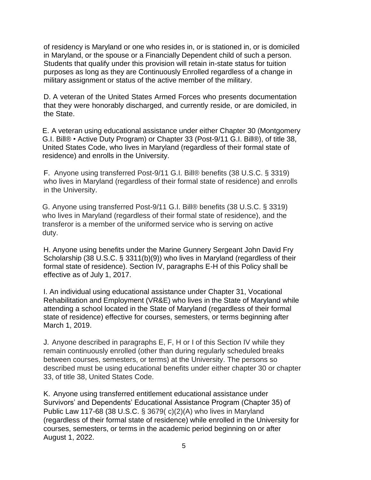of residency is Maryland or one who resides in, or is stationed in, or is domiciled in Maryland, or the spouse or a Financially Dependent child of such a person. Students that qualify under this provision will retain in-state status for tuition purposes as long as they are Continuously Enrolled regardless of a change in military assignment or status of the active member of the military.

D. A veteran of the United States Armed Forces who presents documentation that they were honorably discharged, and currently reside, or are domiciled, in the State.

E. A veteran using educational assistance under either Chapter 30 (Montgomery G.I. Bill® • Active Duty Program) or Chapter 33 (Post-9/11 G.I. Bill®), of title 38, United States Code, who lives in Maryland (regardless of their formal state of residence) and enrolls in the University.

F. Anyone using transferred Post-9/11 G.I. Bill® benefits (38 U.S.C. § 3319) who lives in Maryland (regardless of their formal state of residence) and enrolls in the University.

G. Anyone using transferred Post-9/11 G.I. Bill® benefits (38 U.S.C. § 3319) who lives in Maryland (regardless of their formal state of residence), and the transferor is a member of the uniformed service who is serving on active duty.

H. Anyone using benefits under the Marine Gunnery Sergeant John David Fry Scholarship (38 U.S.C. § 3311(b)(9)) who lives in Maryland (regardless of their formal state of residence). Section IV, paragraphs E-H of this Policy shall be effective as of July 1, 2017.

I. An individual using educational assistance under Chapter 31, Vocational Rehabilitation and Employment (VR&E) who lives in the State of Maryland while attending a school located in the State of Maryland (regardless of their formal state of residence) effective for courses, semesters, or terms beginning after March 1, 2019.

J. Anyone described in paragraphs E, F, H or I of this Section IV while they remain continuously enrolled (other than during regularly scheduled breaks between courses, semesters, or terms) at the University. The persons so described must be using educational benefits under either chapter 30 or chapter 33, of title 38, United States Code.

K. Anyone using transferred entitlement educational assistance under Survivors' and Dependents' Educational Assistance Program (Chapter 35) of Public Law 117-68 (38 U.S.C. § 3679( c)(2)(A) who lives in Maryland (regardless of their formal state of residence) while enrolled in the University for courses, semesters, or terms in the academic period beginning on or after August 1, 2022.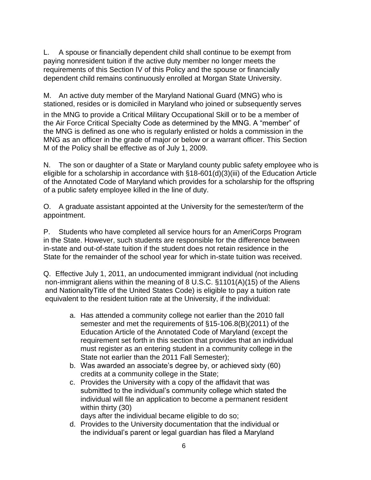L. A spouse or financially dependent child shall continue to be exempt from paying nonresident tuition if the active duty member no longer meets the requirements of this Section IV of this Policy and the spouse or financially dependent child remains continuously enrolled at Morgan State University.

M. An active duty member of the Maryland National Guard (MNG) who is stationed, resides or is domiciled in Maryland who joined or subsequently serves

in the MNG to provide a Critical Military Occupational Skill or to be a member of the Air Force Critical Specialty Code as determined by the MNG. A "member" of the MNG is defined as one who is regularly enlisted or holds a commission in the MNG as an officer in the grade of major or below or a warrant officer. This Section M of the Policy shall be effective as of July 1, 2009.

N. The son or daughter of a State or Maryland county public safety employee who is eligible for a scholarship in accordance with §18-601(d)(3)(iii) of the Education Article of the Annotated Code of Maryland which provides for a scholarship for the offspring of a public safety employee killed in the line of duty.

O. A graduate assistant appointed at the University for the semester/term of the appointment.

P. Students who have completed all service hours for an AmeriCorps Program in the State. However, such students are responsible for the difference between in-state and out-of-state tuition if the student does not retain residence in the State for the remainder of the school year for which in-state tuition was received.

Q. Effective July 1, 2011, an undocumented immigrant individual (not including non-immigrant aliens within the meaning of 8 U.S.C. §1101(A)(15) of the Aliens and NationalityTitle of the United States Code) is eligible to pay a tuition rate equivalent to the resident tuition rate at the University, if the individual:

- a. Has attended a community college not earlier than the 2010 fall semester and met the requirements of §15-106.8(B)(2011) of the Education Article of the Annotated Code of Maryland (except the requirement set forth in this section that provides that an individual must register as an entering student in a community college in the State not earlier than the 2011 Fall Semester);
- b. Was awarded an associate's degree by, or achieved sixty (60) credits at a community college in the State;
- c. Provides the University with a copy of the affidavit that was submitted to the individual's community college which stated the individual will file an application to become a permanent resident within thirty (30)

days after the individual became eligible to do so;

d. Provides to the University documentation that the individual or the individual's parent or legal guardian has filed a Maryland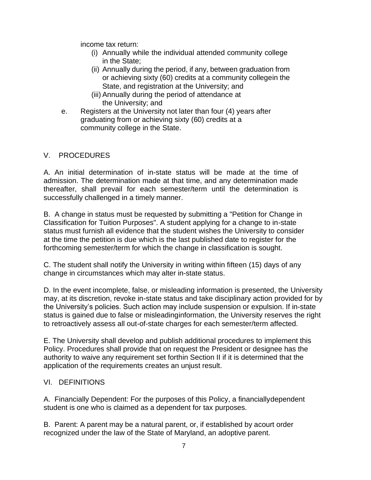income tax return:

- (i) Annually while the individual attended community college in the State;
- (ii) Annually during the period, if any, between graduation from or achieving sixty (60) credits at a community collegein the State, and registration at the University; and
- (iii) Annually during the period of attendance at the University; and
- e. Registers at the University not later than four (4) years after graduating from or achieving sixty (60) credits at a community college in the State.

#### V. PROCEDURES

A. An initial determination of in-state status will be made at the time of admission. The determination made at that time, and any determination made thereafter, shall prevail for each semester/term until the determination is successfully challenged in a timely manner.

B. A change in status must be requested by submitting a "Petition for Change in Classification for Tuition Purposes". A student applying for a change to in-state status must furnish all evidence that the student wishes the University to consider at the time the petition is due which is the last published date to register for the forthcoming semester/term for which the change in classification is sought.

C. The student shall notify the University in writing within fifteen (15) days of any change in circumstances which may alter in-state status.

D. In the event incomplete, false, or misleading information is presented, the University may, at its discretion, revoke in-state status and take disciplinary action provided for by the University's policies. Such action may include suspension or expulsion. If in-state status is gained due to false or misleadinginformation, the University reserves the right to retroactively assess all out-of-state charges for each semester/term affected.

E. The University shall develop and publish additional procedures to implement this Policy. Procedures shall provide that on request the President or designee has the authority to waive any requirement set forthin Section II if it is determined that the application of the requirements creates an unjust result.

#### VI. DEFINITIONS

A. Financially Dependent: For the purposes of this Policy, a financiallydependent student is one who is claimed as a dependent for tax purposes.

B. Parent: A parent may be a natural parent, or, if established by acourt order recognized under the law of the State of Maryland, an adoptive parent.